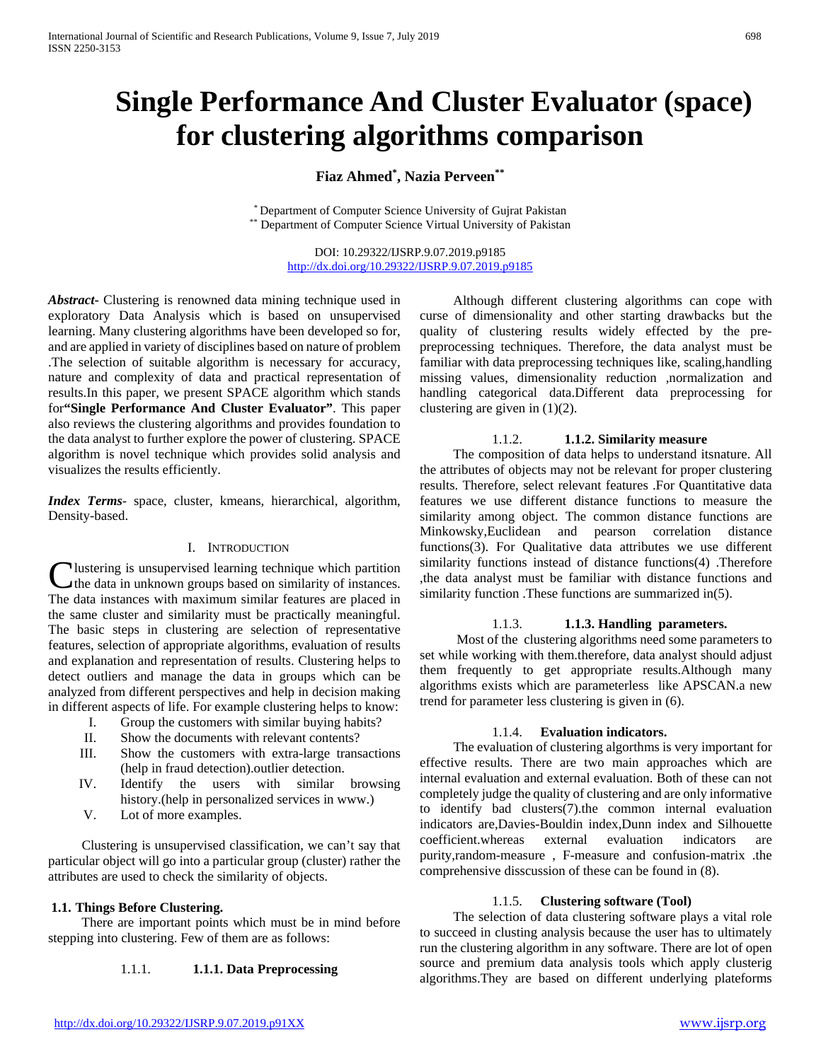# **Single Performance And Cluster Evaluator (space) for clustering algorithms comparison**

# **Fiaz Ahmed\* , Nazia Perveen\*\***

\* Department of Computer Science University of Gujrat Pakistan \*\* Department of Computer Science Virtual University of Pakistan

DOI: 10.29322/IJSRP.9.07.2019.p9185 <http://dx.doi.org/10.29322/IJSRP.9.07.2019.p9185>

*Abstract***-** Clustering is renowned data mining technique used in exploratory Data Analysis which is based on unsupervised learning. Many clustering algorithms have been developed so for, and are applied in variety of disciplines based on nature of problem .The selection of suitable algorithm is necessary for accuracy, nature and complexity of data and practical representation of results.In this paper, we present SPACE algorithm which stands for**"Single Performance And Cluster Evaluator"**. This paper also reviews the clustering algorithms and provides foundation to the data analyst to further explore the power of clustering. SPACE algorithm is novel technique which provides solid analysis and visualizes the results efficiently.

*Index Terms*- space, cluster, kmeans, hierarchical, algorithm, Density-based.

#### I. INTRODUCTION

lustering is unsupervised learning technique which partition **C** lustering is unsupervised learning technique which partition the data in unknown groups based on similarity of instances. The data instances with maximum similar features are placed in the same cluster and similarity must be practically meaningful. The basic steps in clustering are selection of representative features, selection of appropriate algorithms, evaluation of results and explanation and representation of results. Clustering helps to detect outliers and manage the data in groups which can be analyzed from different perspectives and help in decision making in different aspects of life. For example clustering helps to know:

- I. Group the customers with similar buying habits?
- II. Show the documents with relevant contents?
- III. Show the customers with extra-large transactions (help in fraud detection).outlier detection.
- IV. Identify the users with similar browsing history.(help in personalized services in www.)
- V. Lot of more examples.

 Clustering is unsupervised classification, we can't say that particular object will go into a particular group (cluster) rather the attributes are used to check the similarity of objects.

#### **1.1. Things Before Clustering.**

 There are important points which must be in mind before stepping into clustering. Few of them are as follows:

## 1.1.1. **1.1.1. Data Preprocessing**

 Although different clustering algorithms can cope with curse of dimensionality and other starting drawbacks but the quality of clustering results widely effected by the prepreprocessing techniques. Therefore, the data analyst must be familiar with data preprocessing techniques like, scaling,handling missing values, dimensionality reduction ,normalization and handling categorical data.Different data preprocessing for clustering are given in (1)(2).

#### 1.1.2. **1.1.2. Similarity measure**

 The composition of data helps to understand itsnature. All the attributes of objects may not be relevant for proper clustering results. Therefore, select relevant features .For Quantitative data features we use different distance functions to measure the similarity among object. The common distance functions are Minkowsky,Euclidean and pearson correlation distance functions(3). For Qualitative data attributes we use different similarity functions instead of distance functions(4) .Therefore ,the data analyst must be familiar with distance functions and similarity function. These functions are summarized in(5).

#### 1.1.3. **1.1.3. Handling parameters.**

 Most of the clustering algorithms need some parameters to set while working with them.therefore, data analyst should adjust them frequently to get appropriate results.Although many algorithms exists which are parameterless like APSCAN.a new trend for parameter less clustering is given in (6).

#### 1.1.4. **Evaluation indicators.**

 The evaluation of clustering algorthms is very important for effective results. There are two main approaches which are internal evaluation and external evaluation. Both of these can not completely judge the quality of clustering and are only informative to identify bad clusters(7).the common internal evaluation indicators are,Davies-Bouldin index,Dunn index and Silhouette coefficient.whereas external evaluation indicators are purity,random-measure , F-measure and confusion-matrix .the comprehensive disscussion of these can be found in (8).

#### 1.1.5. **Clustering software (Tool)**

 The selection of data clustering software plays a vital role to succeed in clusting analysis because the user has to ultimately run the clustering algorithm in any software. There are lot of open source and premium data analysis tools which apply clusterig algorithms.They are based on different underlying plateforms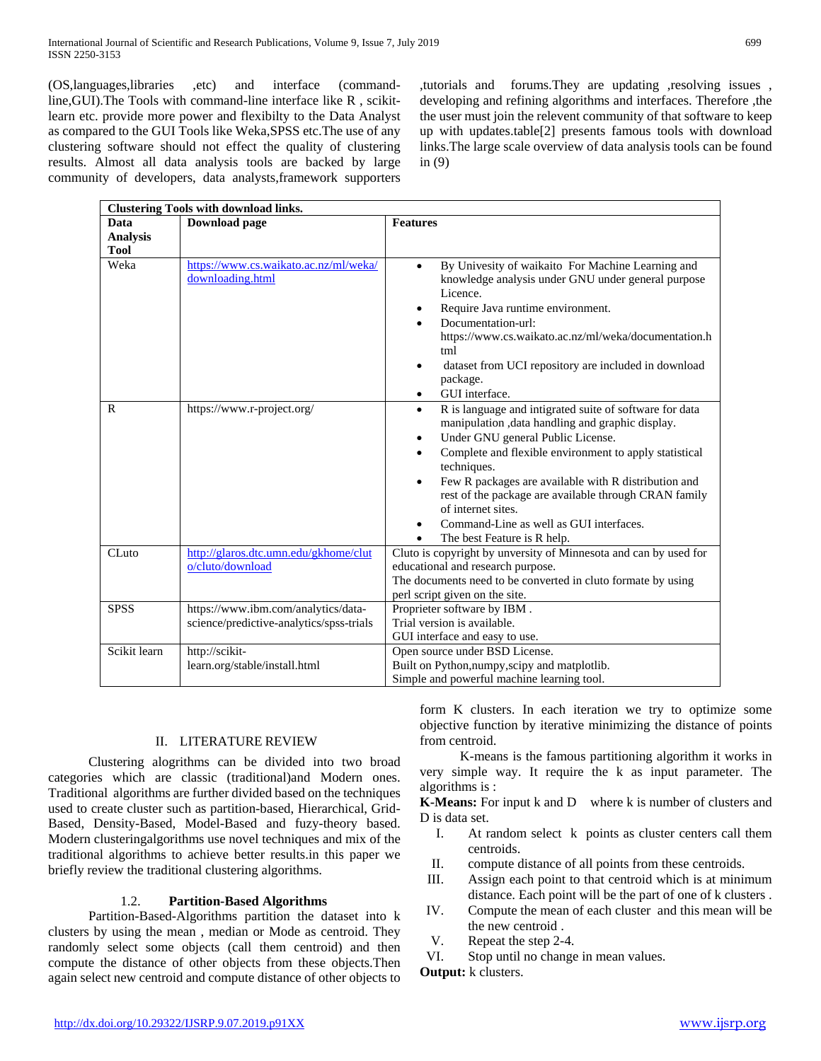(OS,languages,libraries ,etc) and interface (commandline,GUI).The Tools with command-line interface like R , scikitlearn etc. provide more power and flexibilty to the Data Analyst as compared to the GUI Tools like Weka,SPSS etc.The use of any clustering software should not effect the quality of clustering results. Almost all data analysis tools are backed by large community of developers, data analysts,framework supporters

,tutorials and forums.They are updating ,resolving issues , developing and refining algorithms and interfaces. Therefore ,the the user must join the relevent community of that software to keep up with updates.table[2] presents famous tools with download links.The large scale overview of data analysis tools can be found in (9)

|                 | <b>Clustering Tools with download links.</b>                                    |                                                                                                                                                                                                                                                                                                                                                                                                                                                                            |
|-----------------|---------------------------------------------------------------------------------|----------------------------------------------------------------------------------------------------------------------------------------------------------------------------------------------------------------------------------------------------------------------------------------------------------------------------------------------------------------------------------------------------------------------------------------------------------------------------|
| Data            | <b>Download</b> page                                                            | <b>Features</b>                                                                                                                                                                                                                                                                                                                                                                                                                                                            |
| <b>Analysis</b> |                                                                                 |                                                                                                                                                                                                                                                                                                                                                                                                                                                                            |
| <b>Tool</b>     |                                                                                 |                                                                                                                                                                                                                                                                                                                                                                                                                                                                            |
| Weka            | https://www.cs.waikato.ac.nz/ml/weka/<br>downloading.html                       | By Univesity of waikaito For Machine Learning and<br>$\bullet$<br>knowledge analysis under GNU under general purpose<br>Licence.<br>Require Java runtime environment.<br>Documentation-url:<br>https://www.cs.waikato.ac.nz/ml/weka/documentation.h<br>tml<br>dataset from UCI repository are included in download<br>package.<br>GUI interface.<br>٠                                                                                                                      |
| R               | https://www.r-project.org/                                                      | R is language and intigrated suite of software for data<br>$\bullet$<br>manipulation , data handling and graphic display.<br>Under GNU general Public License.<br>٠<br>Complete and flexible environment to apply statistical<br>techniques.<br>Few R packages are available with R distribution and<br>$\bullet$<br>rest of the package are available through CRAN family<br>of internet sites.<br>Command-Line as well as GUI interfaces.<br>The best Feature is R help. |
| $CL$ uto        | http://glaros.dtc.umn.edu/gkhome/clut<br>o/cluto/download                       | Cluto is copyright by unversity of Minnesota and can by used for<br>educational and research purpose.<br>The documents need to be converted in cluto formate by using<br>perl script given on the site.                                                                                                                                                                                                                                                                    |
| <b>SPSS</b>     | https://www.ibm.com/analytics/data-<br>science/predictive-analytics/spss-trials | Proprieter software by IBM.<br>Trial version is available.<br>GUI interface and easy to use.                                                                                                                                                                                                                                                                                                                                                                               |
| Scikit learn    | http://scikit-<br>learn.org/stable/install.html                                 | Open source under BSD License.<br>Built on Python, numpy, scipy and matplotlib.                                                                                                                                                                                                                                                                                                                                                                                            |
|                 |                                                                                 | Simple and powerful machine learning tool.                                                                                                                                                                                                                                                                                                                                                                                                                                 |

## II. LITERATURE REVIEW

 Clustering alogrithms can be divided into two broad categories which are classic (traditional)and Modern ones. Traditional algorithms are further divided based on the techniques used to create cluster such as partition-based, Hierarchical, Grid-Based, Density-Based, Model-Based and fuzy-theory based. Modern clusteringalgorithms use novel techniques and mix of the traditional algorithms to achieve better results.in this paper we briefly review the traditional clustering algorithms.

## 1.2. **Partition-Based Algorithms**

 Partition-Based-Algorithms partition the dataset into k clusters by using the mean , median or Mode as centroid. They randomly select some objects (call them centroid) and then compute the distance of other objects from these objects.Then again select new centroid and compute distance of other objects to form K clusters. In each iteration we try to optimize some objective function by iterative minimizing the distance of points from centroid.

 K-means is the famous partitioning algorithm it works in very simple way. It require the k as input parameter. The algorithms is :

**K-Means:** For input k and D where k is number of clusters and D is data set.

- I. At random select k points as cluster centers call them centroids.
- II. compute distance of all points from these centroids.
- III. Assign each point to that centroid which is at minimum distance. Each point will be the part of one of k clusters .
- IV. Compute the mean of each cluster and this mean will be the new centroid .
- V. Repeat the step 2-4.

VI. Stop until no change in mean values.

**Output:** k clusters.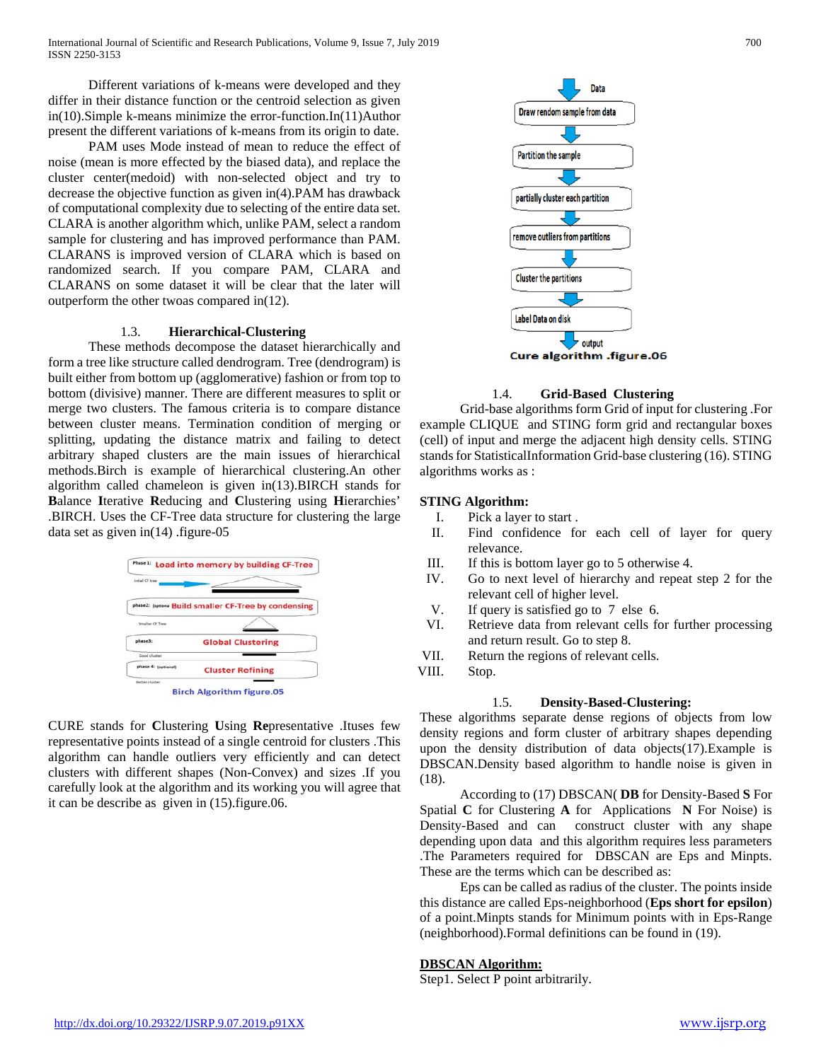Different variations of k-means were developed and they differ in their distance function or the centroid selection as given in(10).Simple k-means minimize the error-function.In(11)Author present the different variations of k-means from its origin to date.

 PAM uses Mode instead of mean to reduce the effect of noise (mean is more effected by the biased data), and replace the cluster center(medoid) with non-selected object and try to decrease the objective function as given in(4).PAM has drawback of computational complexity due to selecting of the entire data set. CLARA is another algorithm which, unlike PAM, select a random sample for clustering and has improved performance than PAM. CLARANS is improved version of CLARA which is based on randomized search. If you compare PAM, CLARA and CLARANS on some dataset it will be clear that the later will outperform the other twoas compared in(12).

#### 1.3. **Hierarchical-Clustering**

 These methods decompose the dataset hierarchically and form a tree like structure called dendrogram. Tree (dendrogram) is built either from bottom up (agglomerative) fashion or from top to bottom (divisive) manner. There are different measures to split or merge two clusters. The famous criteria is to compare distance between cluster means. Termination condition of merging or splitting, updating the distance matrix and failing to detect arbitrary shaped clusters are the main issues of hierarchical methods.Birch is example of hierarchical clustering.An other algorithm called chameleon is given in(13).BIRCH stands for **B**alance **I**terative **R**educing and **C**lustering using **H**ierarchies' .BIRCH. Uses the CF-Tree data structure for clustering the large data set as given in(14) .figure-05



CURE stands for **C**lustering **U**sing **Re**presentative .Ituses few representative points instead of a single centroid for clusters .This algorithm can handle outliers very efficiently and can detect clusters with different shapes (Non-Convex) and sizes .If you carefully look at the algorithm and its working you will agree that it can be describe as given in (15).figure.06.



#### 1.4. **Grid-Based Clustering**

 Grid-base algorithms form Grid of input for clustering .For example CLIQUE and STING form grid and rectangular boxes (cell) of input and merge the adjacent high density cells. STING stands for StatisticalInformation Grid-base clustering (16). STING algorithms works as :

#### **STING Algorithm:**

- I. Pick a layer to start .
- II. Find confidence for each cell of layer for query relevance.
- III. If this is bottom layer go to 5 otherwise 4.
- IV. Go to next level of hierarchy and repeat step 2 for the relevant cell of higher level.
- V. If query is satisfied go to 7 else 6.
- VI. Retrieve data from relevant cells for further processing and return result. Go to step 8.
- VII. Return the regions of relevant cells.
- VIII. Stop.

## 1.5. **Density-Based-Clustering:**

These algorithms separate dense regions of objects from low density regions and form cluster of arbitrary shapes depending upon the density distribution of data objects(17).Example is DBSCAN.Density based algorithm to handle noise is given in (18).

 According to (17) DBSCAN( **DB** for Density-Based **S** For Spatial **C** for Clustering **A** for Applications **N** For Noise) is Density-Based and can construct cluster with any shape depending upon data and this algorithm requires less parameters .The Parameters required for DBSCAN are Eps and Minpts. These are the terms which can be described as:

 Eps can be called as radius of the cluster. The points inside this distance are called Eps-neighborhood (**Eps short for epsilon**) of a point.Minpts stands for Minimum points with in Eps-Range (neighborhood).Formal definitions can be found in (19).

## **DBSCAN Algorithm:**

Step1. Select P point arbitrarily.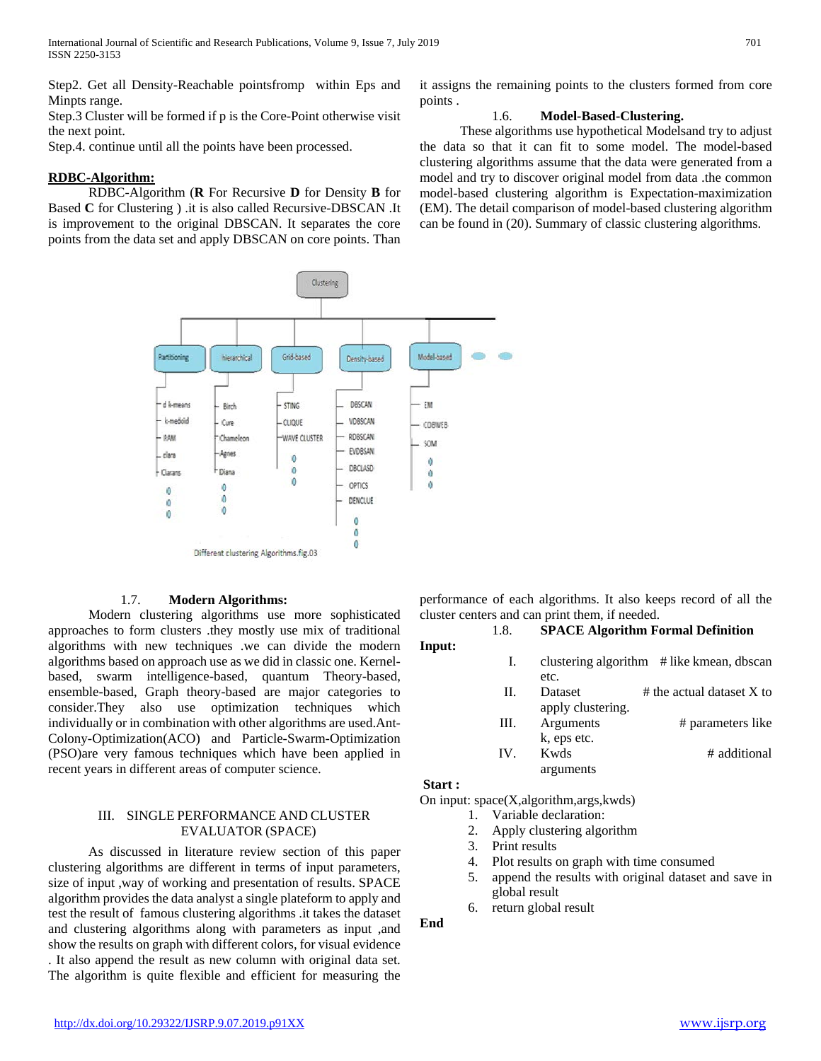Step2. Get all Density-Reachable pointsfromp within Eps and Minpts range.

Step.3 Cluster will be formed if p is the Core-Point otherwise visit the next point.

Step.4. continue until all the points have been processed.

## **RDBC-Algorithm:**

 RDBC-Algorithm (**R** For Recursive **D** for Density **B** for Based **C** for Clustering ) .it is also called Recursive-DBSCAN .It is improvement to the original DBSCAN. It separates the core points from the data set and apply DBSCAN on core points. Than it assigns the remaining points to the clusters formed from core points .

## 1.6. **Model-Based-Clustering.**

 These algorithms use hypothetical Modelsand try to adjust the data so that it can fit to some model. The model-based clustering algorithms assume that the data were generated from a model and try to discover original model from data .the common model-based clustering algorithm is Expectation-maximization (EM). The detail comparison of model-based clustering algorithm can be found in (20). Summary of classic clustering algorithms.



## 1.7. **Modern Algorithms:**

 Modern clustering algorithms use more sophisticated approaches to form clusters .they mostly use mix of traditional algorithms with new techniques .we can divide the modern algorithms based on approach use as we did in classic one. Kernelbased, swarm intelligence-based, quantum Theory-based, ensemble-based, Graph theory-based are major categories to consider.They also use optimization techniques which individually or in combination with other algorithms are used.Ant-Colony-Optimization(ACO) and Particle-Swarm-Optimization (PSO)are very famous techniques which have been applied in recent years in different areas of computer science.

## III. SINGLE PERFORMANCE AND CLUSTER EVALUATOR (SPACE)

 As discussed in literature review section of this paper clustering algorithms are different in terms of input parameters, size of input ,way of working and presentation of results. SPACE algorithm provides the data analyst a single plateform to apply and test the result of famous clustering algorithms .it takes the dataset and clustering algorithms along with parameters as input ,and show the results on graph with different colors, for visual evidence . It also append the result as new column with original data set. The algorithm is quite flexible and efficient for measuring the performance of each algorithms. It also keeps record of all the cluster centers and can print them, if needed.

1.8. **SPACE Algorithm Formal Definition Input:**

- I. clustering algorithm # like kmean, dbscan etc.
- II. Dataset  $\#$  the actual dataset X to apply clustering.
- III. Arguments # parameters like k, eps etc. IV. Kwds # additional
- arguments

#### **Start :**

On input: space(X,algorithm,args,kwds)

- 1. Variable declaration:
- 2. Apply clustering algorithm
- 3. Print results
- 4. Plot results on graph with time consumed
- 5. append the results with original dataset and save in global result
- 6. return global result

**End**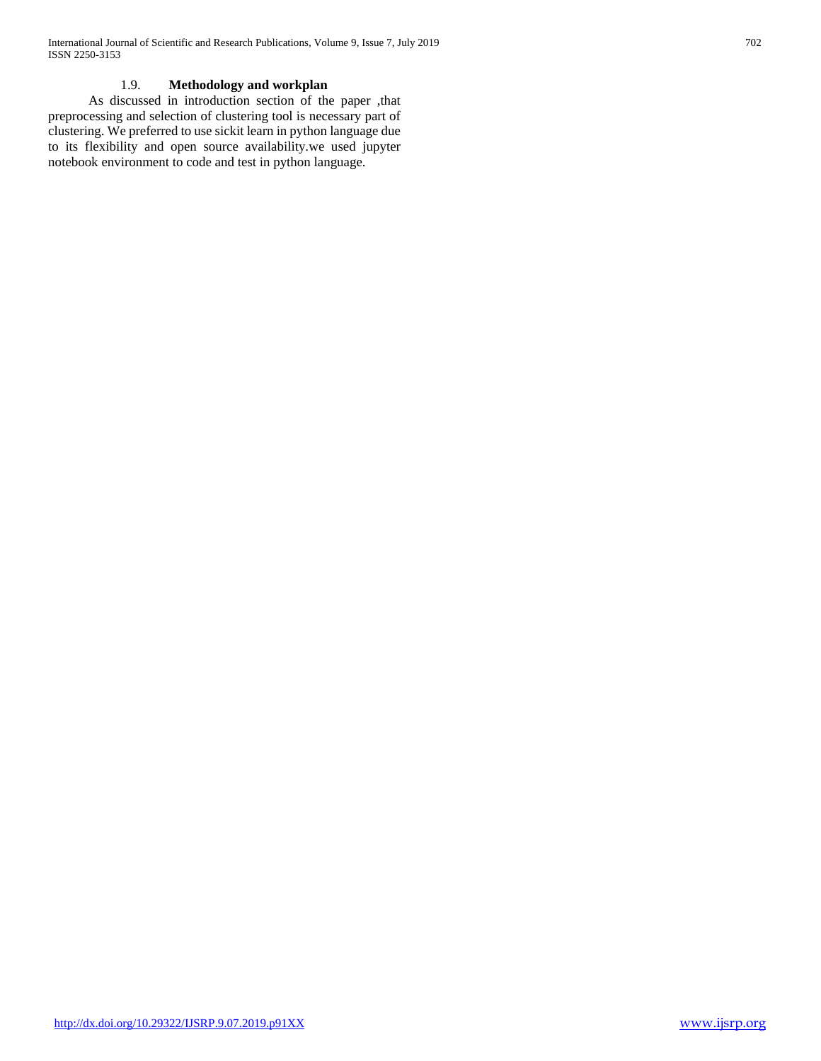# 1.9. **Methodology and workplan**

 As discussed in introduction section of the paper ,that preprocessing and selection of clustering tool is necessary part of clustering. We preferred to use sickit learn in python language due to its flexibility and open source availability.we used jupyter notebook environment to code and test in python language.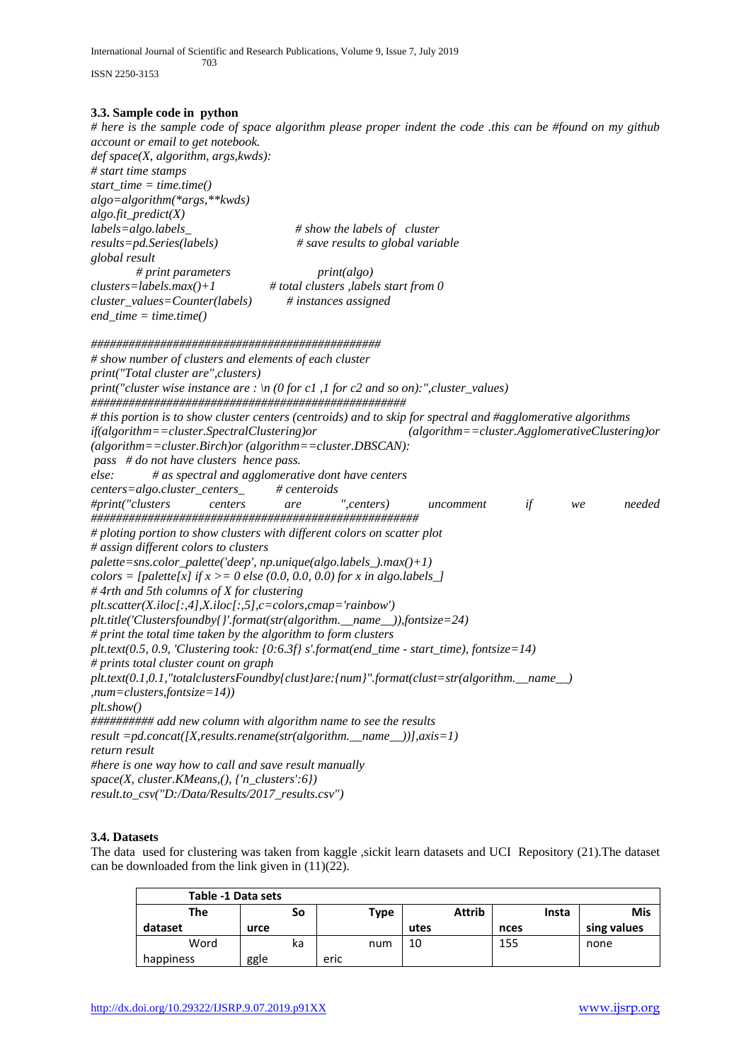International Journal of Scientific and Research Publications, Volume 9, Issue 7, July 2019 703

ISSN 2250-3153

*# here is the sample code of space algorithm please proper indent the code .this can be #found on my github account or email to get notebook. def space(X, algorithm, args,kwds): # start time stamps start\_time = time.time() algo=algorithm(\*args,\*\*kwds) algo.fit\_predict(X) labels=algo.labels\_ # show the labels of cluster results=pd.Series(labels) # save results to global variable global result # print parameters print(algo) clusters=labels.max()+1 # total clusters ,labels start from 0 cluster\_values=Counter(labels) # instances assigned end\_time = time.time() ############################################## # show number of clusters and elements of each cluster print("Total cluster are",clusters) print("cluster wise instance are : \n (0 for c1 ,1 for c2 and so on):",cluster\_values) ################################################## # this portion is to show cluster centers (centroids) and to skip for spectral and #agglomerative algorithms if(algorithm==cluster.SpectralClustering)or (algorithm==cluster.AgglomerativeClustering)or (algorithm==cluster.Birch)or (algorithm==cluster.DBSCAN): pass # do not have clusters hence pass. else: # as spectral and agglomerative dont have centers centers=algo.cluster\_centers\_ # centeroids #print("clusters centers are ",centers) uncomment if we needed #################################################### # ploting portion to show clusters with different colors on scatter plot # assign different colors to clusters palette=sns.color\_palette('deep', np.unique(algo.labels\_).max()+1) colors = [palette[x] if x > = 0 else (0.0, 0.0, 0.0) for x in algo.labels* ] *# 4rth and 5th columns of X for clustering plt.scatter(X.iloc[:,4],X.iloc[:,5],c=colors,cmap='rainbow') plt.title('Clustersfoundby{}'.format(str(algorithm.\_\_name\_\_)),fontsize=24) # print the total time taken by the algorithm to form clusters plt.text(0.5, 0.9, 'Clustering took: {0:6.3f} s'.format(end\_time - start\_time), fontsize=14) # prints total cluster count on graph plt.text(0.1,0.1,"totalclustersFoundby{clust}are:{num}".format(clust=str(algorithm.\_\_name\_\_) ,num=clusters,fontsize=14)) plt.show() ########## add new column with algorithm name to see the results result =pd.concat([X,results.rename(str(algorithm.\_\_name\_\_))],axis=1) return result #here is one way how to call and save result manually space(X, cluster.KMeans,(), {'n\_clusters':6}) result.to\_csv("D:/Data/Results/2017\_results.csv")*

# **3.4. Datasets**

The data used for clustering was taken from kaggle ,sickit learn datasets and UCI Repository (21).The dataset can be downloaded from the link given in (11)(22).

| Table -1 Data sets |      |    |      |             |      |               |       |  |             |
|--------------------|------|----|------|-------------|------|---------------|-------|--|-------------|
| The<br>So          |      |    |      | <b>Type</b> |      | <b>Attrib</b> | Insta |  | <b>Mis</b>  |
| dataset            | urce |    |      |             | utes |               | nces  |  | sing values |
| Word               |      | ka |      | num         | 10   |               | 155   |  | none        |
| happiness          | ggle |    | eric |             |      |               |       |  |             |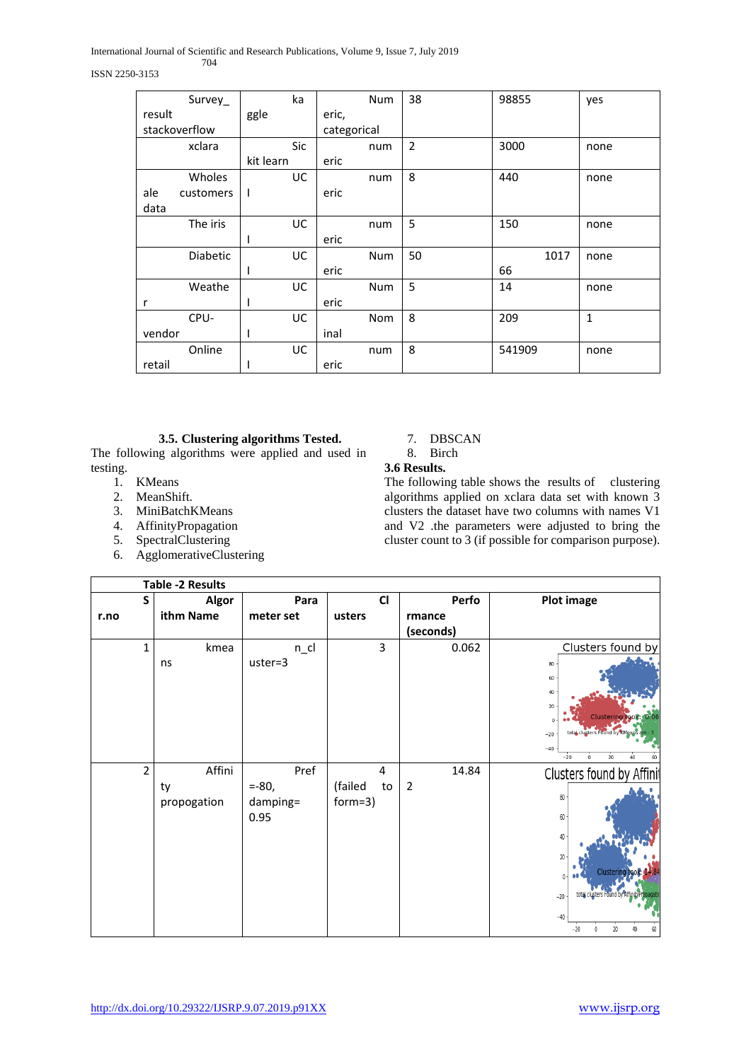International Journal of Scientific and Research Publications, Volume 9, Issue 7, July 2019 704

#### ISSN 2250-3153

| Survey_          | ka         | Num         | 38             | 98855  | yes          |
|------------------|------------|-------------|----------------|--------|--------------|
| result           | ggle       | eric,       |                |        |              |
| stackoverflow    |            | categorical |                |        |              |
| xclara           | <b>Sic</b> | num         | $\overline{2}$ | 3000   | none         |
|                  | kit learn  | eric        |                |        |              |
| Wholes           | UC         | num         | 8              | 440    | none         |
| ale<br>customers | 1          | eric        |                |        |              |
| data             |            |             |                |        |              |
| The iris         | <b>UC</b>  | num         | 5              | 150    | none         |
|                  |            | eric        |                |        |              |
| <b>Diabetic</b>  | UC         | Num         | 50             | 1017   | none         |
|                  | ı          | eric        |                | 66     |              |
| Weathe           | <b>UC</b>  | Num         | 5              | 14     | none         |
| r                | T          | eric        |                |        |              |
| CPU-             | UC         | Nom         | 8              | 209    | $\mathbf{1}$ |
| vendor           | I          | inal        |                |        |              |
| Online           | UC         | num         | 8              | 541909 | none         |
| retail           |            | eric        |                |        |              |

# **3.5. Clustering algorithms Tested.**

The following algorithms were applied and used in testing.

- 1. KMeans
- 2. MeanShift.
- 3. MiniBatchKMeans
- 4. AffinityPropagation
- 5. SpectralClustering
- 6. AgglomerativeClustering

7. DBSCAN

8. Birch

# **3.6 Results.**

The following table shows the results of clustering algorithms applied on xclara data set with known 3 clusters the dataset have two columns with names V1 and V2 .the parameters were adjusted to bring the cluster count to 3 (if possible for comparison purpose).

|      |                | Table -2 Results |           |                |                |                                                  |
|------|----------------|------------------|-----------|----------------|----------------|--------------------------------------------------|
|      | S              | <b>Algor</b>     | Para      | <b>CI</b>      | Perfo          | <b>Plot image</b>                                |
| r.no |                | ithm Name        | meter set | usters         | rmance         |                                                  |
|      |                |                  |           |                | (seconds)      |                                                  |
|      | $\mathbf{1}$   | kmea             | $n$ _cl   | 3              | 0.062          | Clusters found by                                |
|      |                | ns               | uster=3   |                |                | $80\,$                                           |
|      |                |                  |           |                |                | 60                                               |
|      |                |                  |           |                |                | 40                                               |
|      |                |                  |           |                |                | $20\,$                                           |
|      |                |                  |           |                |                | Clustering took: 0.06<br>$\Omega$                |
|      |                |                  |           |                |                | total clusters Found by KMean<br>$-20$           |
|      |                |                  |           |                |                | $-40$<br>$\overline{20}$<br>$-20$<br>$\mathbb O$ |
|      | $\overline{2}$ | Affini           | Pref      | $\overline{4}$ | 14.84          | Clusters found by Affinit                        |
|      |                | ty               | $= -80,$  | (failed<br>to  | $\overline{2}$ |                                                  |
|      |                | propogation      | damping=  | $form=3)$      |                | 80                                               |
|      |                |                  | 0.95      |                |                | 60                                               |
|      |                |                  |           |                |                | 40                                               |
|      |                |                  |           |                |                |                                                  |
|      |                |                  |           |                |                | 20                                               |
|      |                |                  |           |                |                | Clustering<br>$0 \cdot$                          |
|      |                |                  |           |                |                | total clusters Found b<br>$-20$                  |
|      |                |                  |           |                |                |                                                  |
|      |                |                  |           |                |                | $-40$<br>20<br>$-20$<br>$\mathbf 0$<br>60<br>40  |
|      |                |                  |           |                |                |                                                  |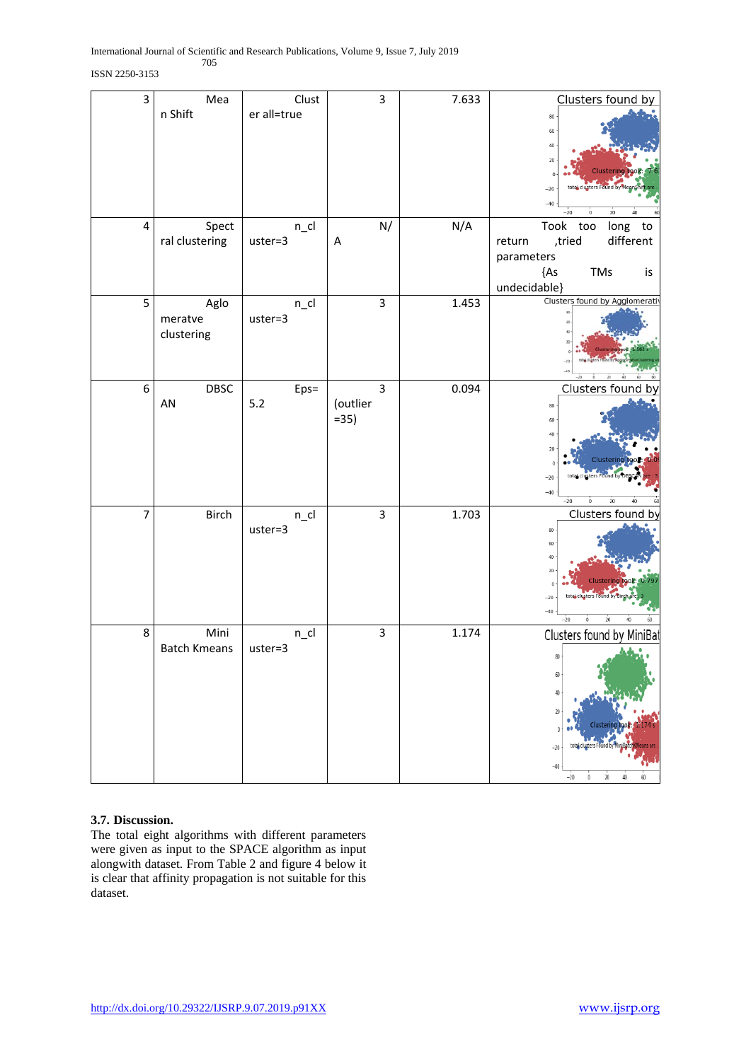## ISSN 2250-3153

| $\overline{\mathbf{3}}$ | Mea<br>n Shift                | Clust<br>er all=true | 3                        | 7.633 | Clusters found by<br>80<br>60<br>40<br>20<br>Clustering<br>total clusters Found by<br>$-20$<br>$-40$<br>$-20$<br>20<br>$\bf{0}$<br>40 |
|-------------------------|-------------------------------|----------------------|--------------------------|-------|---------------------------------------------------------------------------------------------------------------------------------------|
| $\overline{\mathbf{4}}$ | Spect<br>ral clustering       | $n$ _cl<br>uster=3   | N/<br>A                  | N/A   | Took too<br>long to<br>different<br>,tried<br>return<br>parameters<br>${AS}$<br><b>TMs</b><br>is<br>undecidable}                      |
| 5                       | Aglo<br>meratve<br>clustering | $n$ _cl<br>uster=3   | 3                        | 1.453 | Clusters found by Agglomerativ                                                                                                        |
| 6                       | DBSC<br>AN                    | Eps=<br>$5.2$        | 3<br>(outlier<br>$= 35)$ | 0.094 | Clusters found<br>b٧<br>80<br>60<br>40<br>20<br>Clustering<br>$\Omega$<br>$-20$<br>$-40$<br>$-20$<br>20<br>$\ddot{\mathbf{0}}$        |
| 7                       | Birch                         | $n$ _cl<br>uster=3   | 3                        | 1.703 | Clusters found by<br>80<br>60<br>40<br>20<br><b>Clustering</b><br>$-20$<br>$-40$<br>$-20$<br>$\dot{20}$<br>60<br>40                   |
| 8                       | Mini<br><b>Batch Kmeans</b>   | $n$ _cl<br>uster=3   | 3                        | 1.174 | Clusters found by MiniBat<br>80<br>$60\,$<br>40<br>20<br>-20<br>60<br>-20<br>20<br>0                                                  |

# **3.7. Discussion.**

The total eight algorithms with different parameters were given as input to the SPACE algorithm as input alongwith dataset. From Table 2 and figure 4 below it is clear that affinity propagation is not suitable for this dataset.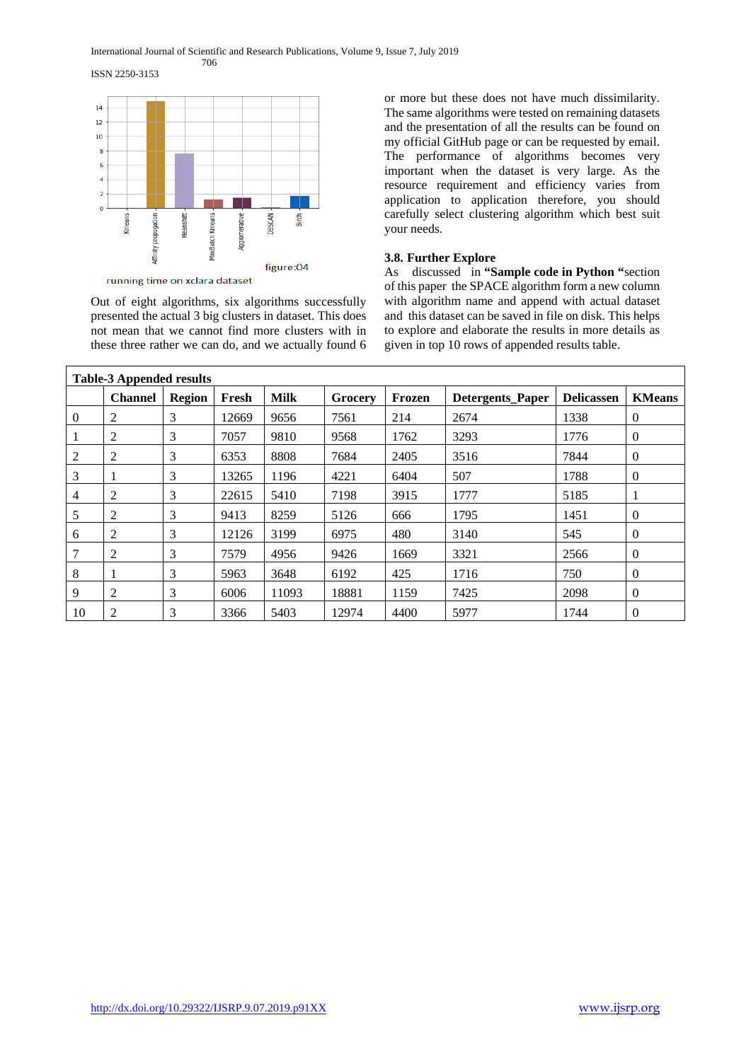#### International Journal of Scientific and Research Publications, Volume 9, Issue 7, July 2019 706

ISSN 2250-3153



Out of eight algorithms, six algorithms successfully presented the actual 3 big clusters in dataset. This does not mean that we cannot find more clusters with in these three rather we can do, and we actually found 6 or more but these does not have much dissimilarity. The same algorithms were tested on remaining datasets and the presentation of all the results can be found on my official GitHub page or can be requested by email. The performance of algorithms becomes very important when the dataset is very large. As the resource requirement and efficiency varies from application to application therefore, you should carefully select clustering algorithm which best suit your needs.

## **3.8. Further Explore**

As discussed in **"Sample code in Python "**section of this paper the SPACE algorithm form a new column with algorithm name and append with actual dataset and this dataset can be saved in file on disk. This helps to explore and elaborate the results in more details as given in top 10 rows of appended results table.

| <b>Table-3 Appended results</b> |                |               |       |             |         |        |                         |                   |                |  |
|---------------------------------|----------------|---------------|-------|-------------|---------|--------|-------------------------|-------------------|----------------|--|
|                                 | <b>Channel</b> | <b>Region</b> | Fresh | <b>Milk</b> | Grocery | Frozen | <b>Detergents</b> Paper | <b>Delicassen</b> | <b>KMeans</b>  |  |
| $\overline{0}$                  | 2              | 3             | 12669 | 9656        | 7561    | 214    | 2674                    | 1338              | $\overline{0}$ |  |
|                                 | 2              | 3             | 7057  | 9810        | 9568    | 1762   | 3293                    | 1776              | $\overline{0}$ |  |
| 2                               | 2              | 3             | 6353  | 8808        | 7684    | 2405   | 3516                    | 7844              | $\overline{0}$ |  |
| 3                               |                | 3             | 13265 | 1196        | 4221    | 6404   | 507                     | 1788              | $\overline{0}$ |  |
| $\overline{4}$                  | 2              | 3             | 22615 | 5410        | 7198    | 3915   | 1777                    | 5185              |                |  |
| 5                               | 2              | 3             | 9413  | 8259        | 5126    | 666    | 1795                    | 1451              | $\theta$       |  |
| 6                               | 2              | 3             | 12126 | 3199        | 6975    | 480    | 3140                    | 545               | $\theta$       |  |
| 7                               | 2              | 3             | 7579  | 4956        | 9426    | 1669   | 3321                    | 2566              | $\theta$       |  |
| 8                               |                | 3             | 5963  | 3648        | 6192    | 425    | 1716                    | 750               | $\theta$       |  |
| 9                               | 2              | 3             | 6006  | 11093       | 18881   | 1159   | 7425                    | 2098              | $\theta$       |  |
| 10                              | 2              | 3             | 3366  | 5403        | 12974   | 4400   | 5977                    | 1744              | $\overline{0}$ |  |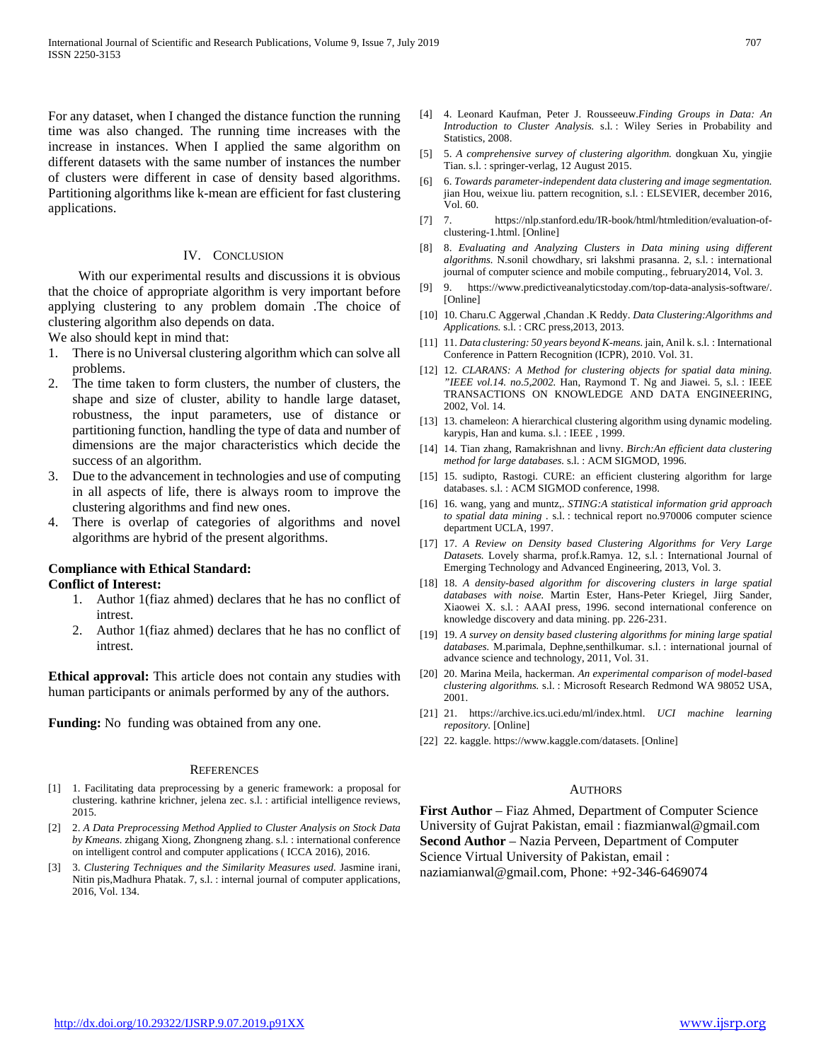For any dataset, when I changed the distance function the running time was also changed. The running time increases with the increase in instances. When I applied the same algorithm on different datasets with the same number of instances the number of clusters were different in case of density based algorithms. Partitioning algorithms like k-mean are efficient for fast clustering applications.

#### IV. CONCLUSION

 With our experimental results and discussions it is obvious that the choice of appropriate algorithm is very important before applying clustering to any problem domain .The choice of clustering algorithm also depends on data.

We also should kept in mind that:

- 1. There is no Universal clustering algorithm which can solve all problems.
- 2. The time taken to form clusters, the number of clusters, the shape and size of cluster, ability to handle large dataset, robustness, the input parameters, use of distance or partitioning function, handling the type of data and number of dimensions are the major characteristics which decide the success of an algorithm.
- 3. Due to the advancement in technologies and use of computing in all aspects of life, there is always room to improve the clustering algorithms and find new ones.
- 4. There is overlap of categories of algorithms and novel algorithms are hybrid of the present algorithms.

## **Compliance with Ethical Standard:**

#### **Conflict of Interest:**

- 1. Author 1(fiaz ahmed) declares that he has no conflict of intrest.
- 2. Author 1(fiaz ahmed) declares that he has no conflict of intrest.

**Ethical approval:** This article does not contain any studies with human participants or animals performed by any of the authors.

**Funding:** No funding was obtained from any one.

#### **REFERENCES**

- [1] 1. Facilitating data preprocessing by a generic framework: a proposal for clustering. kathrine krichner, jelena zec. s.l. : artificial intelligence reviews, 2015.
- [2] 2. *A Data Preprocessing Method Applied to Cluster Analysis on Stock Data by Kmeans.* zhigang Xiong, Zhongneng zhang. s.l. : international conference on intelligent control and computer applications ( ICCA 2016), 2016.
- [3] 3. *Clustering Techniques and the Similarity Measures used.* Jasmine irani, Nitin pis,Madhura Phatak. 7, s.l. : internal journal of computer applications, 2016, Vol. 134.
- [4] 4. Leonard Kaufman, Peter J. Rousseeuw.*Finding Groups in Data: An Introduction to Cluster Analysis.* s.l. : Wiley Series in Probability and Statistics, 2008.
- [5] 5. *A comprehensive survey of clustering algorithm.* dongkuan Xu, yingjie Tian. s.l. : springer-verlag, 12 August 2015.
- [6] 6. *Towards parameter-independent data clustering and image segmentation.*  jian Hou, weixue liu. pattern recognition, s.l. : ELSEVIER, december 2016, Vol. 60.
- [7] 7. https://nlp.stanford.edu/IR-book/html/htmledition/evaluation-ofclustering-1.html. [Online]
- [8] 8. *Evaluating and Analyzing Clusters in Data mining using different algorithms.* N.sonil chowdhary, sri lakshmi prasanna. 2, s.l. : international journal of computer science and mobile computing., february2014, Vol. 3.
- [9] 9. https://www.predictiveanalyticstoday.com/top-data-analysis-software/. [Online]
- [10] 10. Charu.C Aggerwal ,Chandan .K Reddy. *Data Clustering:Algorithms and Applications.* s.l. : CRC press,2013, 2013.
- [11] 11. *Data clustering: 50 years beyond K-means.* jain, Anil k. s.l. : International Conference in Pattern Recognition (ICPR), 2010. Vol. 31.
- [12] 12. *CLARANS: A Method for clustering objects for spatial data mining. "IEEE vol.14. no.5,2002.* Han, Raymond T. Ng and Jiawei. 5, s.l. : IEEE TRANSACTIONS ON KNOWLEDGE AND DATA ENGINEERING, 2002, Vol. 14.
- [13] 13. chameleon: A hierarchical clustering algorithm using dynamic modeling. karypis, Han and kuma. s.l. : IEEE , 1999.
- [14] 14. Tian zhang, Ramakrishnan and livny. *Birch:An efficient data clustering method for large databases.* s.l. : ACM SIGMOD, 1996.
- [15] 15. sudipto, Rastogi. CURE: an efficient clustering algorithm for large databases. s.l. : ACM SIGMOD conference, 1998.
- [16] 16. wang, yang and muntz,. *STING:A statistical information grid approach to spatial data mining .* s.l. : technical report no.970006 computer science department UCLA, 1997.
- [17] 17. *A Review on Density based Clustering Algorithms for Very Large Datasets.* Lovely sharma, prof.k.Ramya. 12, s.l. : International Journal of Emerging Technology and Advanced Engineering, 2013, Vol. 3.
- [18] 18. *A density-based algorithm for discovering clusters in large spatial databases with noise.* Martin Ester, Hans-Peter Kriegel, Jiirg Sander, Xiaowei X. s.l. : AAAI press, 1996. second international conference on knowledge discovery and data mining. pp. 226-231.
- [19] 19. *A survey on density based clustering algorithms for mining large spatial databases.* M.parimala, Dephne,senthilkumar. s.l. : international journal of advance science and technology, 2011, Vol. 31.
- [20] 20. Marina Meila, hackerman. *An experimental comparison of model-based clustering algorithms.* s.l. : Microsoft Research Redmond WA 98052 USA, 2001.
- [21] 21. https://archive.ics.uci.edu/ml/index.html. *UCI machine learning repository.* [Online]
- [22] 22. kaggle. https://www.kaggle.com/datasets. [Online]

#### AUTHORS

**First Author** – Fiaz Ahmed, Department of Computer Science University of Gujrat Pakistan, email : fiazmianwal@gmail.com **Second Author** – Nazia Perveen, Department of Computer Science Virtual University of Pakistan, email : naziamianwal@gmail.com, Phone: +92-346-6469074